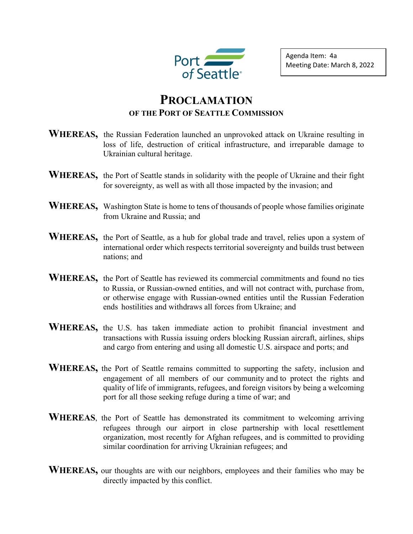

Agenda Item: 4a Meeting Date: March 8, 2022

## **PROCLAMATION OF THE PORT OF SEATTLE COMMISSION**

- **WHEREAS,** the Russian Federation launched an unprovoked attack on Ukraine resulting in loss of life, destruction of critical infrastructure, and irreparable damage to Ukrainian cultural heritage.
- WHEREAS, the Port of Seattle stands in solidarity with the people of Ukraine and their fight for sovereignty, as well as with all those impacted by the invasion; and
- **WHEREAS,** Washington State is home to tens of thousands of people whose families originate from Ukraine and Russia; and
- WHEREAS, the Port of Seattle, as a hub for global trade and travel, relies upon a system of international order which respects territorial sovereignty and builds trust between nations; and
- **WHEREAS,** the Port of Seattle has reviewed its commercial commitments and found no ties to Russia, or Russian-owned entities, and will not contract with, purchase from, or otherwise engage with Russian-owned entities until the Russian Federation ends hostilities and withdraws all forces from Ukraine; and
- **WHEREAS,** the U.S. has taken immediate action to prohibit financial investment and transactions with Russia issuing orders blocking Russian aircraft, airlines, ships and cargo from entering and using all domestic U.S. airspace and ports; and
- **WHEREAS,** the Port of Seattle remains committed to supporting the safety, inclusion and engagement of all members of our community and to protect the rights and quality of life of immigrants, refugees, and foreign visitors by being a welcoming port for all those seeking refuge during a time of war; and
- **WHEREAS**, the Port of Seattle has demonstrated its commitment to welcoming arriving refugees through our airport in close partnership with local resettlement organization, most recently for Afghan refugees, and is committed to providing similar coordination for arriving Ukrainian refugees; and
- **WHEREAS,** our thoughts are with our neighbors, employees and their families who may be directly impacted by this conflict.